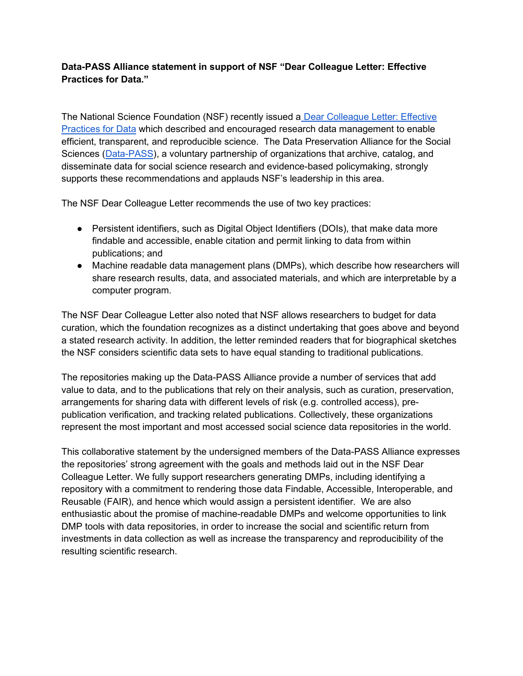## Data-PASS Alliance statement in support of NSF "Dear Colleague Letter: Effective Practices for Data."

The National Science Foundation (NSF) recently issued a Dear Colleague Letter: Effective Practices for Data which described and encouraged research data management to enable efficient, transparent, and reproducible science. The Data Preservation Alliance for the Social Sciences (Data-PASS), a voluntary partnership of organizations that archive, catalog, and disseminate data for social science research and evidence-based policymaking, strongly supports these recommendations and applauds NSF's leadership in this area.

The NSF Dear Colleague Letter recommends the use of two key practices:

- Persistent identifiers, such as Digital Object Identifiers (DOIs), that make data more findable and accessible, enable citation and permit linking to data from within publications; and
- Machine readable data management plans (DMPs), which describe how researchers will share research results, data, and associated materials, and which are interpretable by a computer program.

The NSF Dear Colleague Letter also noted that NSF allows researchers to budget for data curation, which the foundation recognizes as a distinct undertaking that goes above and beyond a stated research activity. In addition, the letter reminded readers that for biographical sketches the NSF considers scientific data sets to have equal standing to traditional publications.

The repositories making up the Data-PASS Alliance provide a number of services that add value to data, and to the publications that rely on their analysis, such as curation, preservation, arrangements for sharing data with different levels of risk (e.g. controlled access), prepublication verification, and tracking related publications. Collectively, these organizations represent the most important and most accessed social science data repositories in the world.

This collaborative statement by the undersigned members of the Data-PASS Alliance expresses the repositories' strong agreement with the goals and methods laid out in the NSF Dear Colleague Letter. We fully support researchers generating DMPs, including identifying a repository with a commitment to rendering those data Findable, Accessible, Interoperable, and Reusable (FAIR), and hence which would assign a persistent identifier. We are also enthusiastic about the promise of machine-readable DMPs and welcome opportunities to link DMP tools with data repositories, in order to increase the social and scientific return from investments in data collection as well as increase the transparency and reproducibility of the resulting scientific research.